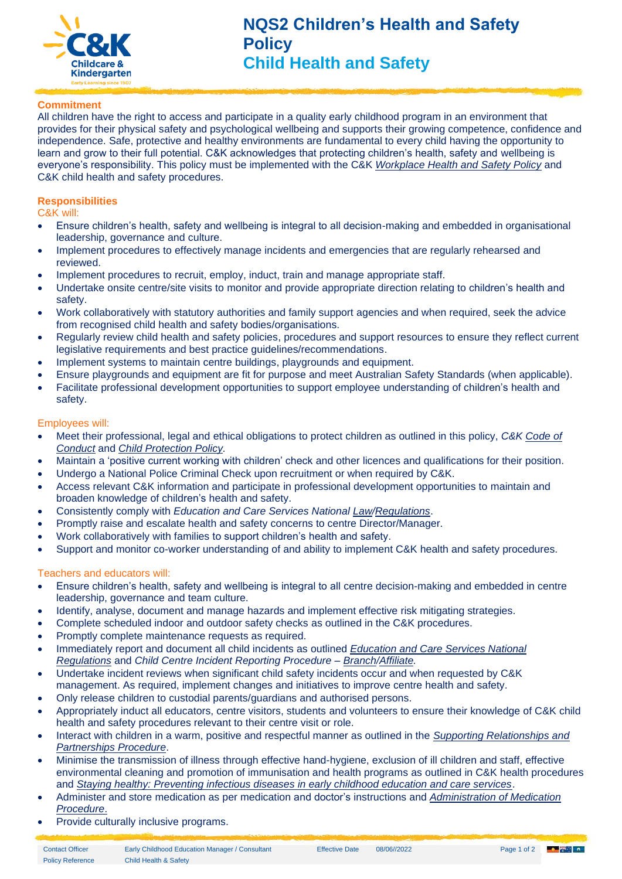

## **Commitment**

All children have the right to access and participate in a quality early childhood program in an environment that provides for their physical safety and psychological wellbeing and supports their growing competence, confidence and independence. Safe, protective and healthy environments are fundamental to every child having the opportunity to learn and grow to their full potential. C&K acknowledges that protecting children's health, safety and wellbeing is everyone's responsibility. This policy must be implemented with the C&K *[Workplace Health and Safety Policy](https://crecheandkindergarten.sharepoint.com/:b:/r/policies/Documents/Workplace%20Health%20and%20Safety%20Policy%20Statement.pdf?csf=1&web=1&e=evVCg6)* and C&K child health and safety procedures.

### **Responsibilities**

C&K will:

- Ensure children's health, safety and wellbeing is integral to all decision-making and embedded in organisational leadership, governance and culture.
- Implement procedures to effectively manage incidents and emergencies that are regularly rehearsed and reviewed.
- Implement procedures to recruit, employ, induct, train and manage appropriate staff.
- Undertake onsite centre/site visits to monitor and provide appropriate direction relating to children's health and safety.
- Work collaboratively with statutory authorities and family support agencies and when required, seek the advice from recognised child health and safety bodies/organisations.
- Regularly review child health and safety policies, procedures and support resources to ensure they reflect current legislative requirements and best practice guidelines/recommendations.
- Implement systems to maintain centre buildings, playgrounds and equipment.
- Ensure playgrounds and equipment are fit for purpose and meet Australian Safety Standards (when applicable).
- Facilitate professional development opportunities to support employee understanding of children's health and safety.

#### Employees will:

- Meet their professional, legal and ethical obligations to protect children as outlined in this policy, *C&K [Code of](https://crecheandkindergarten.sharepoint.com/:b:/r/policies/Documents/Code%20Of%20Conduct.pdf?csf=1&web=1&e=MLLpkT)  [Conduct](https://crecheandkindergarten.sharepoint.com/:b:/r/policies/Documents/Code%20Of%20Conduct.pdf?csf=1&web=1&e=MLLpkT)* and *[Child Protection Policy.](https://crecheandkindergarten.sharepoint.com/:b:/r/policies/Documents/Child%20Protection%20Policy.pdf?csf=1&web=1&e=LDeeuL)*
- Maintain a 'positive current working with children' check and other licences and qualifications for their position.
- Undergo a National Police Criminal Check upon recruitment or when required by C&K.
- Access relevant C&K information and participate in professional development opportunities to maintain and broaden knowledge of children's health and safety.
- Consistently comply with *Education and Care Services National [Law/](https://www.legislation.vic.gov.au/in-force/acts/education-and-care-services-national-law-act-2010/015)[Regulations](https://legislation.nsw.gov.au/view/html/inforce/current/sl-2011-0653)*.
- Promptly raise and escalate health and safety concerns to centre Director/Manager.
- Work collaboratively with families to support children's health and safety.
- Support and monitor co-worker understanding of and ability to implement C&K health and safety procedures.

#### Teachers and educators will:

- Ensure children's health, safety and wellbeing is integral to all centre decision-making and embedded in centre leadership, governance and team culture.
- Identify, analyse, document and manage hazards and implement effective risk mitigating strategies.
- Complete scheduled indoor and outdoor safety checks as outlined in the C&K procedures.
- Promptly complete maintenance requests as required.
- Immediately report and document all child incidents as outlined *[Education and Care Services National](https://legislation.nsw.gov.au/view/html/inforce/current/sl-2011-0653)  [Regulations](https://legislation.nsw.gov.au/view/html/inforce/current/sl-2011-0653)* and *Child Centre Incident Reporting Procedure – [Branch/](https://crecheandkindergarten.sharepoint.com/policies/Documents/Child,%20Centre%20incident%20reporting%20Procedure.pdf)[Affiliate.](https://crecheandkindergarten.sharepoint.com/policies/Documents/Child,%20Centre%20incident%20reporting%20-%20Affiliate%20Procedure.pdf)*
- Undertake incident reviews when significant child safety incidents occur and when requested by C&K management. As required, implement changes and initiatives to improve centre health and safety.
- Only release children to custodial parents/guardians and authorised persons.
- Appropriately induct all educators, centre visitors, students and volunteers to ensure their knowledge of C&K child health and safety procedures relevant to their centre visit or role.
- Interact with children in a warm, positive and respectful manner as outlined in the *[Supporting Relationships and](https://crecheandkindergarten.sharepoint.com/policies/Documents/Supporting%20relationships%20and%20partnerships%20Procedure.pdf)  [Partnerships Procedure](https://crecheandkindergarten.sharepoint.com/policies/Documents/Supporting%20relationships%20and%20partnerships%20Procedure.pdf)*.
- Minimise the transmission of illness through effective hand-hygiene, exclusion of ill children and staff, effective environmental cleaning and promotion of immunisation and health programs as outlined in C&K health procedures and *[Staying healthy: Preventing infectious diseases in early childhood education and care services](https://www.nhmrc.gov.au/about-us/publications/staying-healthy-preventing-infectious-diseases-early-childhood-education-and-care-services)*.
- Administer and store medication as per medication and doctor's instructions and *[Administration of Medication](https://crecheandkindergarten.sharepoint.com/policies/Documents/Administration%20of%20Medication%20Procedure.pdf)  [Procedure](https://crecheandkindergarten.sharepoint.com/policies/Documents/Administration%20of%20Medication%20Procedure.pdf)*.
- Provide culturally inclusive programs.